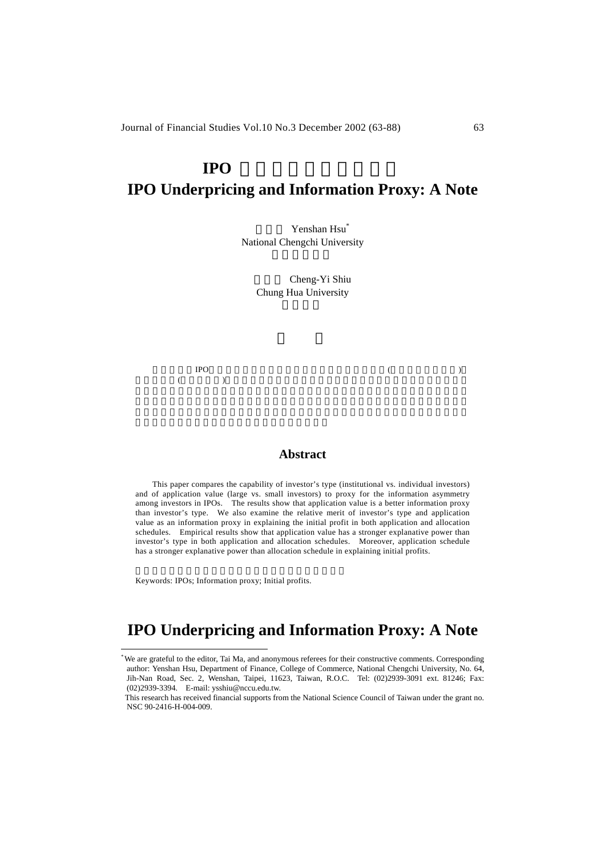# **IPO** 折價與訊息的代理變數 **IPO Underpricing and Information Proxy: A Note**

Yenshan Hsu<sup>\*</sup> National Chengchi University

> Cheng-Yi Shiu Chung Hua University

 $IPO$  (a)  $($  and  $($  and  $($  and  $($  and  $($  and  $)$ 

#### **Abstract**

 This paper compares the capability of investor's type (institutional vs. individual investors) and of application value (large vs. small investors) to proxy for the information asymmetry among investors in IPOs. The results show that application value is a better information proxy than investor's type. We also examine the relative merit of investor's type and application value as an information proxy in explaining the initial profit in both application and allocation schedules. Empirical results show that application value has a stronger explanative power than investor's type in both application and allocation schedules. Moreover, application schedule has a stronger explanative power than allocation schedule in explaining initial profits.

Keywords: IPOs; Information proxy; Initial profits.

l

## **IPO Underpricing and Information Proxy: A Note**

<sup>\*</sup> We are grateful to the editor, Tai Ma, and anonymous referees for their constructive comments. Corresponding author: Yenshan Hsu, Department of Finance, College of Commerce, National Chengchi University, No. 64, Jih-Nan Road, Sec. 2, Wenshan, Taipei, 11623, Taiwan, R.O.C. Tel: (02)2939-3091 ext. 81246; Fax: (02)2939-3394. E-mail: ysshiu@nccu.edu.tw.

This research has received financial supports from the National Science Council of Taiwan under the grant no. NSC 90-2416-H-004-009.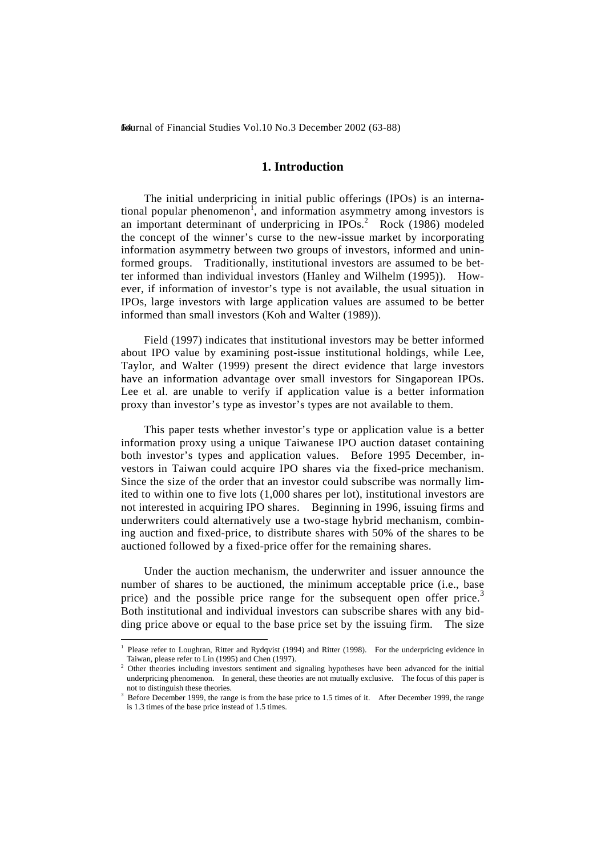### **1. Introduction**

 The initial underpricing in initial public offerings (IPOs) is an international popular phenomenon<sup>1</sup>, and information asymmetry among investors is an important determinant of underpricing in  $IPOs.<sup>2</sup>$  Rock (1986) modeled the concept of the winner's curse to the new-issue market by incorporating information asymmetry between two groups of investors, informed and uninformed groups. Traditionally, institutional investors are assumed to be better informed than individual investors (Hanley and Wilhelm (1995)). However, if information of investor's type is not available, the usual situation in IPOs, large investors with large application values are assumed to be better informed than small investors (Koh and Walter (1989)).

 Field (1997) indicates that institutional investors may be better informed about IPO value by examining post-issue institutional holdings, while Lee, Taylor, and Walter (1999) present the direct evidence that large investors have an information advantage over small investors for Singaporean IPOs. Lee et al. are unable to verify if application value is a better information proxy than investor's type as investor's types are not available to them.

 This paper tests whether investor's type or application value is a better information proxy using a unique Taiwanese IPO auction dataset containing both investor's types and application values. Before 1995 December, investors in Taiwan could acquire IPO shares via the fixed-price mechanism. Since the size of the order that an investor could subscribe was normally limited to within one to five lots (1,000 shares per lot), institutional investors are not interested in acquiring IPO shares. Beginning in 1996, issuing firms and underwriters could alternatively use a two-stage hybrid mechanism, combining auction and fixed-price, to distribute shares with 50% of the shares to be auctioned followed by a fixed-price offer for the remaining shares.

 Under the auction mechanism, the underwriter and issuer announce the number of shares to be auctioned, the minimum acceptable price (i.e., base price) and the possible price range for the subsequent open offer price.<sup>3</sup> Both institutional and individual investors can subscribe shares with any bidding price above or equal to the base price set by the issuing firm. The size

l

<sup>&</sup>lt;sup>1</sup> Please refer to Loughran, Ritter and Rydqvist (1994) and Ritter (1998). For the underpricing evidence in Taiwan, please refer to Lin (1995) and Chen (1997).

<sup>&</sup>lt;sup>2</sup> Other theories including investors sentiment and signaling hypotheses have been advanced for the initial underpricing phenomenon. In general, these theories are not mutually exclusive. The focus of this paper is not to distinguish these theories.

<sup>3</sup> Before December 1999, the range is from the base price to 1.5 times of it. After December 1999, the range is 1.3 times of the base price instead of 1.5 times.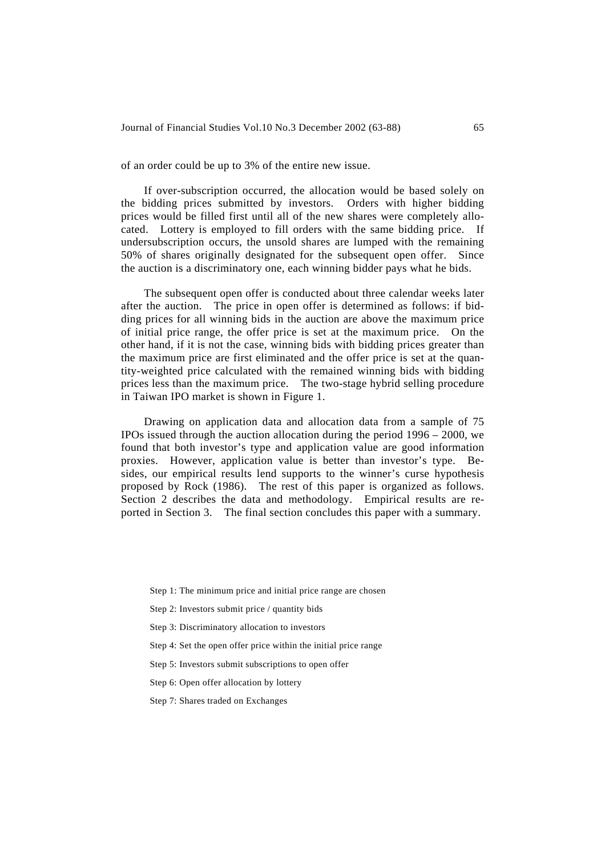of an order could be up to 3% of the entire new issue.

 If over-subscription occurred, the allocation would be based solely on the bidding prices submitted by investors. Orders with higher bidding prices would be filled first until all of the new shares were completely allocated. Lottery is employed to fill orders with the same bidding price. If undersubscription occurs, the unsold shares are lumped with the remaining 50% of shares originally designated for the subsequent open offer. Since the auction is a discriminatory one, each winning bidder pays what he bids.

 The subsequent open offer is conducted about three calendar weeks later after the auction. The price in open offer is determined as follows: if bidding prices for all winning bids in the auction are above the maximum price of initial price range, the offer price is set at the maximum price. On the other hand, if it is not the case, winning bids with bidding prices greater than the maximum price are first eliminated and the offer price is set at the quantity-weighted price calculated with the remained winning bids with bidding prices less than the maximum price. The two-stage hybrid selling procedure in Taiwan IPO market is shown in Figure 1.

 Drawing on application data and allocation data from a sample of 75 IPOs issued through the auction allocation during the period 1996 – 2000, we found that both investor's type and application value are good information proxies. However, application value is better than investor's type. Besides, our empirical results lend supports to the winner's curse hypothesis proposed by Rock (1986). The rest of this paper is organized as follows. Section 2 describes the data and methodology. Empirical results are reported in Section 3. The final section concludes this paper with a summary.

- Step 1: The minimum price and initial price range are chosen
- Step 2: Investors submit price / quantity bids
- Step 3: Discriminatory allocation to investors
- Step 4: Set the open offer price within the initial price range
- Step 5: Investors submit subscriptions to open offer
- Step 6: Open offer allocation by lottery
- Step 7: Shares traded on Exchanges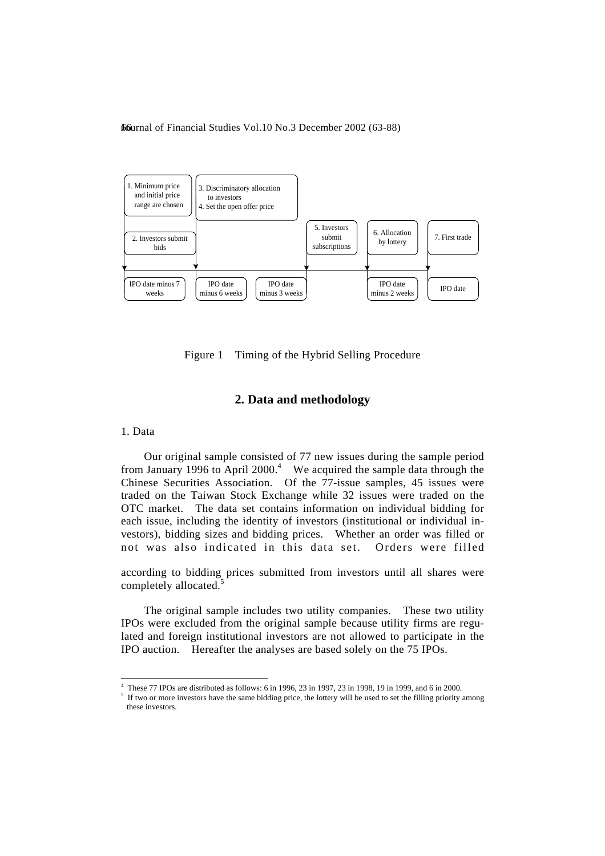

Figure 1 Timing of the Hybrid Selling Procedure

## **2. Data and methodology**

1. Data

l

 Our original sample consisted of 77 new issues during the sample period from January 1996 to April 2000.<sup>4</sup> We acquired the sample data through the Chinese Securities Association. Of the 77-issue samples, 45 issues were traded on the Taiwan Stock Exchange while 32 issues were traded on the OTC market. The data set contains information on individual bidding for each issue, including the identity of investors (institutional or individual investors), bidding sizes and bidding prices. Whether an order was filled or not was also indicated in this data set. Orders were filled

according to bidding prices submitted from investors until all shares were completely allocated.<sup>5</sup>

 The original sample includes two utility companies. These two utility IPOs were excluded from the original sample because utility firms are regulated and foreign institutional investors are not allowed to participate in the IPO auction. Hereafter the analyses are based solely on the 75 IPOs.

<sup>4</sup> These 77 IPOs are distributed as follows: 6 in 1996, 23 in 1997, 23 in 1998, 19 in 1999, and 6 in 2000.

<sup>&</sup>lt;sup>5</sup> If two or more investors have the same bidding price, the lottery will be used to set the filling priority among these investors.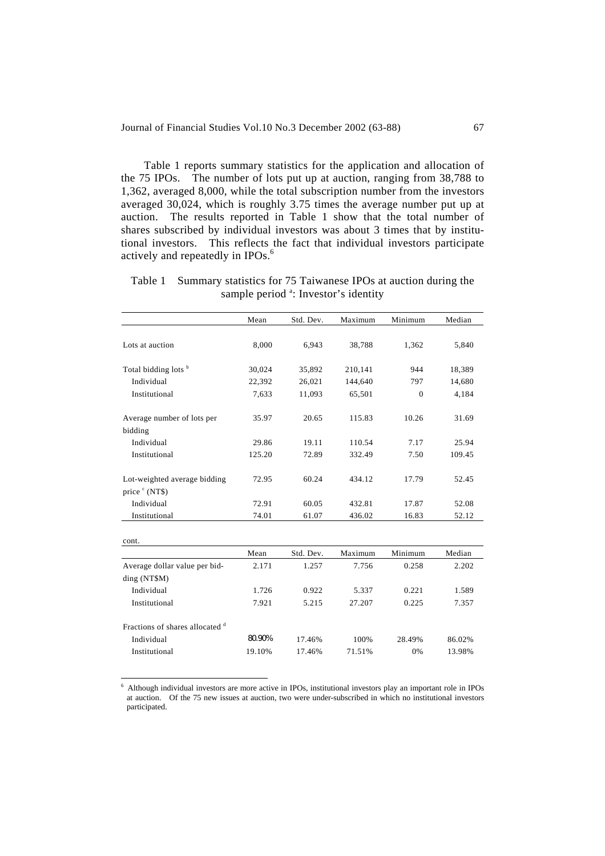Table 1 reports summary statistics for the application and allocation of the 75 IPOs. The number of lots put up at auction, ranging from 38,788 to 1,362, averaged 8,000, while the total subscription number from the investors averaged 30,024, which is roughly 3.75 times the average number put up at auction. The results reported in Table 1 show that the total number of shares subscribed by individual investors was about 3 times that by institutional investors. This reflects the fact that individual investors participate actively and repeatedly in IPOs.<sup>6</sup>

Table 1 Summary statistics for 75 Taiwanese IPOs at auction during the sample period <sup>a</sup>: Investor's identity

|                                                            | Mean   | Std. Dev. | Maximum | Minimum        | Median |
|------------------------------------------------------------|--------|-----------|---------|----------------|--------|
| Lots at auction                                            | 8,000  | 6,943     | 38,788  | 1,362          | 5,840  |
| Total bidding lots <sup>b</sup>                            | 30,024 | 35,892    | 210,141 | 944            | 18,389 |
| Individual                                                 | 22,392 | 26,021    | 144,640 | 797            | 14,680 |
| Institutional                                              | 7,633  | 11,093    | 65,501  | $\overline{0}$ | 4,184  |
| Average number of lots per<br>bidding                      | 35.97  | 20.65     | 115.83  | 10.26          | 31.69  |
| Individual                                                 | 29.86  | 19.11     | 110.54  | 7.17           | 25.94  |
| Institutional                                              | 125.20 | 72.89     | 332.49  | 7.50           | 109.45 |
| Lot-weighted average bidding<br>price $\textdegree$ (NT\$) | 72.95  | 60.24     | 434.12  | 17.79          | 52.45  |
| Individual                                                 | 72.91  | 60.05     | 432.81  | 17.87          | 52.08  |
| Institutional                                              | 74.01  | 61.07     | 436.02  | 16.83          | 52.12  |
| cont.                                                      |        |           |         |                |        |
|                                                            | Mean   | Std. Dev. | Maximum | Minimum        | Median |
| Average dollar value per bid-<br>ding (NT\$M)              | 2.171  | 1.257     | 7.756   | 0.258          | 2.202  |
| Individual                                                 | 1.726  | 0.922     | 5.337   | 0.221          | 1.589  |
| Institutional                                              | 7.921  | 5.215     | 27.207  | 0.225          | 7.357  |
| Fractions of shares allocated d<br>Individual              | 80.90% | 17.46%    | 100%    | 28.49%         | 86.02% |

 6 Although individual investors are more active in IPOs, institutional investors play an important role in IPOs at auction. Of the 75 new issues at auction, two were under-subscribed in which no institutional investors participated.

Institutional 19.10% 17.46% 71.51% 0% 13.98%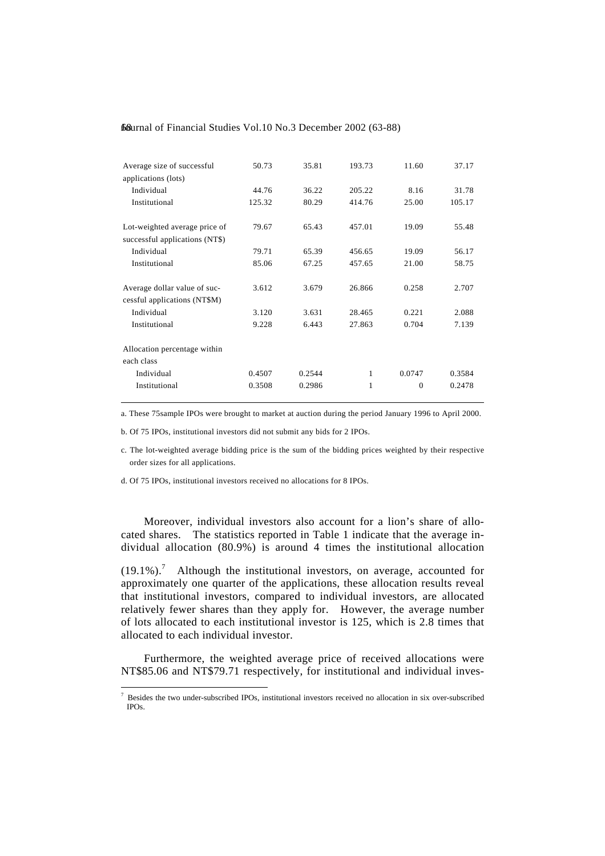| Average size of successful     | 50.73  | 35.81  | 193.73 | 11.60    | 37.17  |
|--------------------------------|--------|--------|--------|----------|--------|
| applications (lots)            |        |        |        |          |        |
| Individual                     | 44.76  | 36.22  | 205.22 | 8.16     | 31.78  |
| Institutional                  | 125.32 | 80.29  | 414.76 | 25.00    | 105.17 |
| Lot-weighted average price of  | 79.67  | 65.43  | 457.01 | 19.09    | 55.48  |
| successful applications (NT\$) |        |        |        |          |        |
| Individual                     | 79.71  | 65.39  | 456.65 | 19.09    | 56.17  |
| Institutional                  | 85.06  | 67.25  | 457.65 | 21.00    | 58.75  |
| Average dollar value of suc-   | 3.612  | 3.679  | 26.866 | 0.258    | 2.707  |
| cessful applications (NT\$M)   |        |        |        |          |        |
| Individual                     | 3.120  | 3.631  | 28.465 | 0.221    | 2.088  |
| Institutional                  | 9.228  | 6.443  | 27.863 | 0.704    | 7.139  |
| Allocation percentage within   |        |        |        |          |        |
| each class                     |        |        |        |          |        |
| Individual                     | 0.4507 | 0.2544 | 1      | 0.0747   | 0.3584 |
| Institutional                  | 0.3508 | 0.2986 | 1      | $\Omega$ | 0.2478 |
|                                |        |        |        |          |        |

a. These 75sample IPOs were brought to market at auction during the period January 1996 to April 2000.

b. Of 75 IPOs, institutional investors did not submit any bids for 2 IPOs.

c. The lot-weighted average bidding price is the sum of the bidding prices weighted by their respective order sizes for all applications.

d. Of 75 IPOs, institutional investors received no allocations for 8 IPOs.

l

 Moreover, individual investors also account for a lion's share of allocated shares. The statistics reported in Table 1 indicate that the average individual allocation (80.9%) is around 4 times the institutional allocation

 $(19.1\%)$ .<sup>7</sup> Although the institutional investors, on average, accounted for approximately one quarter of the applications, these allocation results reveal that institutional investors, compared to individual investors, are allocated relatively fewer shares than they apply for. However, the average number of lots allocated to each institutional investor is 125, which is 2.8 times that allocated to each individual investor.

 Furthermore, the weighted average price of received allocations were NT\$85.06 and NT\$79.71 respectively, for institutional and individual inves-

<sup>&</sup>lt;sup>7</sup> Besides the two under-subscribed IPOs, institutional investors received no allocation in six over-subscribed IPOs.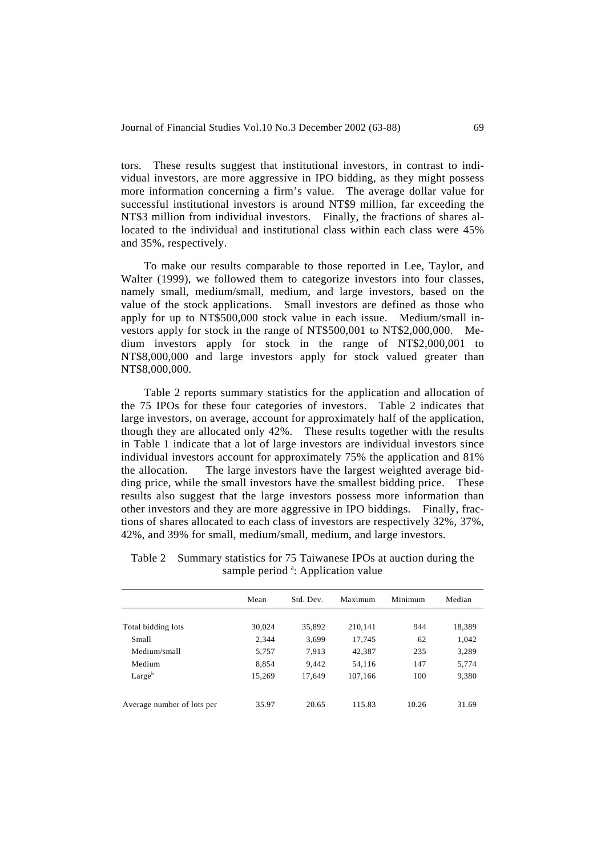tors. These results suggest that institutional investors, in contrast to individual investors, are more aggressive in IPO bidding, as they might possess more information concerning a firm's value. The average dollar value for successful institutional investors is around NT\$9 million, far exceeding the NT\$3 million from individual investors. Finally, the fractions of shares allocated to the individual and institutional class within each class were 45% and 35%, respectively.

 To make our results comparable to those reported in Lee, Taylor, and Walter (1999), we followed them to categorize investors into four classes, namely small, medium/small, medium, and large investors, based on the value of the stock applications. Small investors are defined as those who apply for up to NT\$500,000 stock value in each issue. Medium/small investors apply for stock in the range of NT\$500,001 to NT\$2,000,000. Medium investors apply for stock in the range of NT\$2,000,001 to NT\$8,000,000 and large investors apply for stock valued greater than NT\$8,000,000.

 Table 2 reports summary statistics for the application and allocation of the 75 IPOs for these four categories of investors. Table 2 indicates that large investors, on average, account for approximately half of the application, though they are allocated only 42%. These results together with the results in Table 1 indicate that a lot of large investors are individual investors since individual investors account for approximately 75% the application and 81% the allocation. The large investors have the largest weighted average bidding price, while the small investors have the smallest bidding price. These results also suggest that the large investors possess more information than other investors and they are more aggressive in IPO biddings. Finally, fractions of shares allocated to each class of investors are respectively 32%, 37%, 42%, and 39% for small, medium/small, medium, and large investors.

|                            | Mean   | Std. Dev. | Maximum | Minimum | Median |
|----------------------------|--------|-----------|---------|---------|--------|
|                            |        |           |         |         |        |
| Total bidding lots         | 30,024 | 35,892    | 210,141 | 944     | 18,389 |
| Small                      | 2,344  | 3,699     | 17,745  | 62      | 1,042  |
| Medium/small               | 5,757  | 7.913     | 42,387  | 235     | 3,289  |
| Medium                     | 8,854  | 9,442     | 54,116  | 147     | 5,774  |
| Large <sup>b</sup>         | 15.269 | 17.649    | 107.166 | 100     | 9,380  |
|                            |        |           |         |         |        |
| Average number of lots per | 35.97  | 20.65     | 115.83  | 10.26   | 31.69  |

Table 2 Summary statistics for 75 Taiwanese IPOs at auction during the sample period<sup>a</sup>: Application value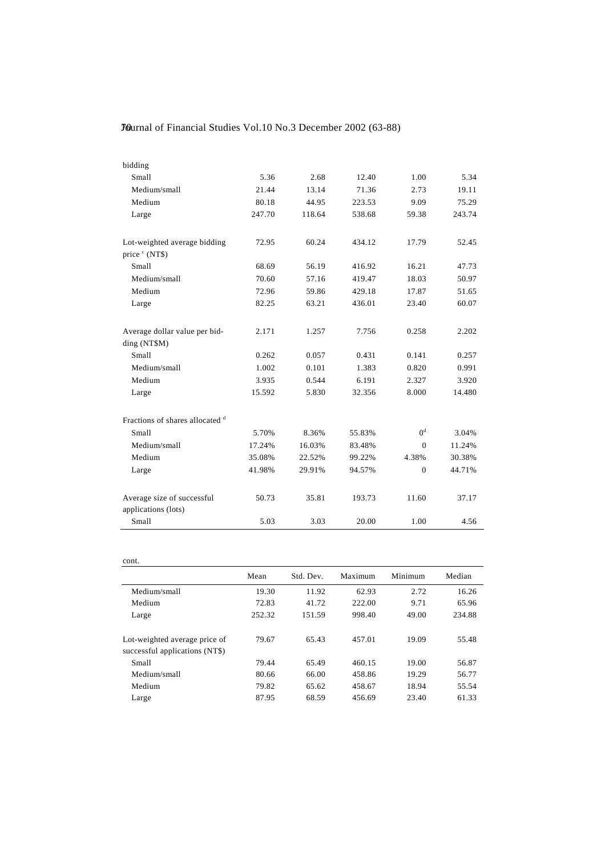| bidding                                           |        |        |        |                |        |
|---------------------------------------------------|--------|--------|--------|----------------|--------|
| Small                                             | 5.36   | 2.68   | 12.40  | 1.00           | 5.34   |
| Medium/small                                      | 21.44  | 13.14  | 71.36  | 2.73           | 19.11  |
| Medium                                            | 80.18  | 44.95  | 223.53 | 9.09           | 75.29  |
| Large                                             | 247.70 | 118.64 | 538.68 | 59.38          | 243.74 |
| Lot-weighted average bidding<br>price ° (NT\$)    | 72.95  | 60.24  | 434.12 | 17.79          | 52.45  |
| Small                                             | 68.69  | 56.19  | 416.92 | 16.21          | 47.73  |
| Medium/small                                      | 70.60  | 57.16  | 419.47 | 18.03          | 50.97  |
| Medium                                            | 72.96  | 59.86  | 429.18 | 17.87          | 51.65  |
| Large                                             | 82.25  | 63.21  | 436.01 | 23.40          | 60.07  |
| Average dollar value per bid-<br>ding (NT\$M)     | 2.171  | 1.257  | 7.756  | 0.258          | 2.202  |
| Small                                             | 0.262  | 0.057  | 0.431  | 0.141          | 0.257  |
| Medium/small                                      | 1.002  | 0.101  | 1.383  | 0.820          | 0.991  |
| Medium                                            | 3.935  | 0.544  | 6.191  | 2.327          | 3.920  |
| Large                                             | 15.592 | 5.830  | 32.356 | 8.000          | 14.480 |
| Fractions of shares allocated d                   |        |        |        |                |        |
| <b>Small</b>                                      | 5.70%  | 8.36%  | 55.83% | 0 <sup>d</sup> | 3.04%  |
| Medium/small                                      | 17.24% | 16.03% | 83.48% | $\Omega$       | 11.24% |
| Medium                                            | 35.08% | 22.52% | 99.22% | 4.38%          | 30.38% |
| Large                                             | 41.98% | 29.91% | 94.57% | $\Omega$       | 44.71% |
| Average size of successful<br>applications (lots) | 50.73  | 35.81  | 193.73 | 11.60          | 37.17  |
| Small                                             | 5.03   | 3.03   | 20.00  | 1.00           | 4.56   |

| cont.                                                           |        |           |         |         |        |
|-----------------------------------------------------------------|--------|-----------|---------|---------|--------|
|                                                                 | Mean   | Std. Dev. | Maximum | Minimum | Median |
| Medium/small                                                    | 19.30  | 11.92     | 62.93   | 2.72    | 16.26  |
| Medium                                                          | 72.83  | 41.72     | 222.00  | 9.71    | 65.96  |
| Large                                                           | 252.32 | 151.59    | 998.40  | 49.00   | 234.88 |
| Lot-weighted average price of<br>successful applications (NT\$) | 79.67  | 65.43     | 457.01  | 19.09   | 55.48  |
| Small                                                           | 79.44  | 65.49     | 460.15  | 19.00   | 56.87  |
| Medium/small                                                    | 80.66  | 66.00     | 458.86  | 19.29   | 56.77  |
| Medium                                                          | 79.82  | 65.62     | 458.67  | 18.94   | 55.54  |
| Large                                                           | 87.95  | 68.59     | 456.69  | 23.40   | 61.33  |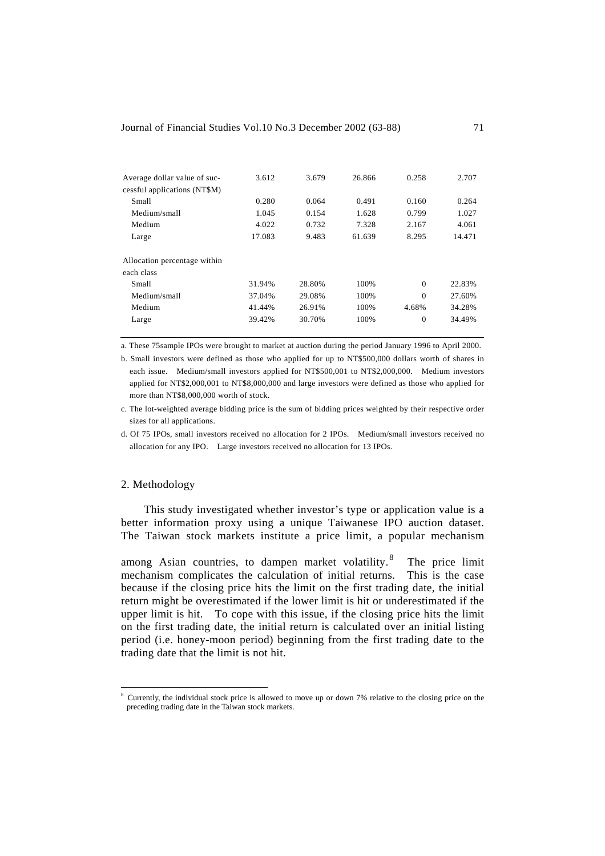| 3.612  | 3.679  | 26.866 | 0.258    | 2.707  |
|--------|--------|--------|----------|--------|
|        |        |        |          |        |
| 0.280  | 0.064  | 0.491  | 0.160    | 0.264  |
| 1.045  | 0.154  | 1.628  | 0.799    | 1.027  |
| 4.022  | 0.732  | 7.328  | 2.167    | 4.061  |
| 17.083 | 9.483  | 61.639 | 8.295    | 14.471 |
|        |        |        |          |        |
|        |        |        |          |        |
| 31.94% | 28.80% | 100%   | $\Omega$ | 22.83% |
| 37.04% | 29.08% | 100%   | $\Omega$ | 27.60% |
| 41.44% | 26.91% | 100%   | 4.68%    | 34.28% |
| 39.42% | 30.70% | 100%   | $\Omega$ | 34.49% |
|        |        |        |          |        |

a. These 75sample IPOs were brought to market at auction during the period January 1996 to April 2000.

b. Small investors were defined as those who applied for up to NT\$500,000 dollars worth of shares in each issue. Medium/small investors applied for NT\$500,001 to NT\$2,000,000. Medium investors applied for NT\$2,000,001 to NT\$8,000,000 and large investors were defined as those who applied for more than NT\$8,000,000 worth of stock.

c. The lot-weighted average bidding price is the sum of bidding prices weighted by their respective order sizes for all applications.

d. Of 75 IPOs, small investors received no allocation for 2 IPOs. Medium/small investors received no allocation for any IPO. Large investors received no allocation for 13 IPOs.

#### 2. Methodology

l

 This study investigated whether investor's type or application value is a better information proxy using a unique Taiwanese IPO auction dataset. The Taiwan stock markets institute a price limit, a popular mechanism

among Asian countries, to dampen market volatility.<sup>8</sup> The price limit mechanism complicates the calculation of initial returns. This is the case because if the closing price hits the limit on the first trading date, the initial return might be overestimated if the lower limit is hit or underestimated if the upper limit is hit. To cope with this issue, if the closing price hits the limit on the first trading date, the initial return is calculated over an initial listing period (i.e. honey-moon period) beginning from the first trading date to the trading date that the limit is not hit.

<sup>&</sup>lt;sup>8</sup> Currently, the individual stock price is allowed to move up or down 7% relative to the closing price on the preceding trading date in the Taiwan stock markets.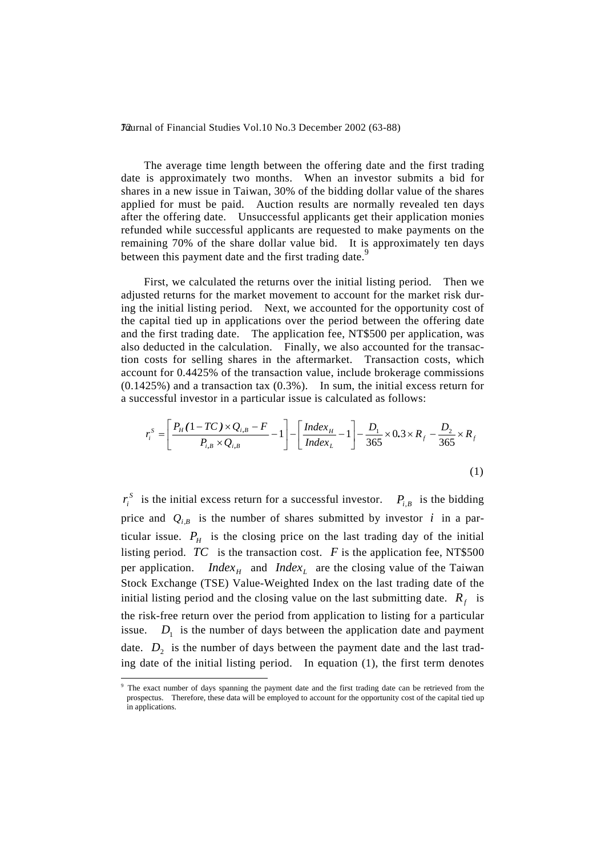The average time length between the offering date and the first trading date is approximately two months. When an investor submits a bid for shares in a new issue in Taiwan, 30% of the bidding dollar value of the shares applied for must be paid. Auction results are normally revealed ten days after the offering date. Unsuccessful applicants get their application monies refunded while successful applicants are requested to make payments on the remaining 70% of the share dollar value bid. It is approximately ten days between this payment date and the first trading date.<sup>9</sup>

 First, we calculated the returns over the initial listing period. Then we adjusted returns for the market movement to account for the market risk during the initial listing period. Next, we accounted for the opportunity cost of the capital tied up in applications over the period between the offering date and the first trading date. The application fee, NT\$500 per application, was also deducted in the calculation. Finally, we also accounted for the transaction costs for selling shares in the aftermarket. Transaction costs, which account for 0.4425% of the transaction value, include brokerage commissions (0.1425%) and a transaction tax (0.3%). In sum, the initial excess return for a successful investor in a particular issue is calculated as follows:

$$
r_i^S = \left[ \frac{P_H (1 - TC) \times Q_{i,B} - F}{P_{i,B} \times Q_{i,B}} - 1 \right] - \left[ \frac{Index_H}{Index_L} - 1 \right] - \frac{D_1}{365} \times 0.3 \times R_f - \frac{D_2}{365} \times R_f
$$
\n(1)

 $r_i^S$  is the initial excess return for a successful investor.  $P_{i,B}$  is the bidding price and  $Q_{i,B}$  is the number of shares submitted by investor *i* in a particular issue.  $P_{H}$  is the closing price on the last trading day of the initial listing period.  $TC$  is the transaction cost.  $F$  is the application fee, NT\$500 per application. *Index<sub>H</sub>* and *Index<sub>L</sub>* are the closing value of the Taiwan Stock Exchange (TSE) Value-Weighted Index on the last trading date of the initial listing period and the closing value on the last submitting date.  $R<sub>f</sub>$  is the risk-free return over the period from application to listing for a particular issue.  $D_1$  is the number of days between the application date and payment date.  $D_2$  is the number of days between the payment date and the last trading date of the initial listing period. In equation (1), the first term denotes

l

<sup>&</sup>lt;sup>9</sup> The exact number of days spanning the payment date and the first trading date can be retrieved from the prospectus. Therefore, these data will be employed to account for the opportunity cost of the capital tied up in applications.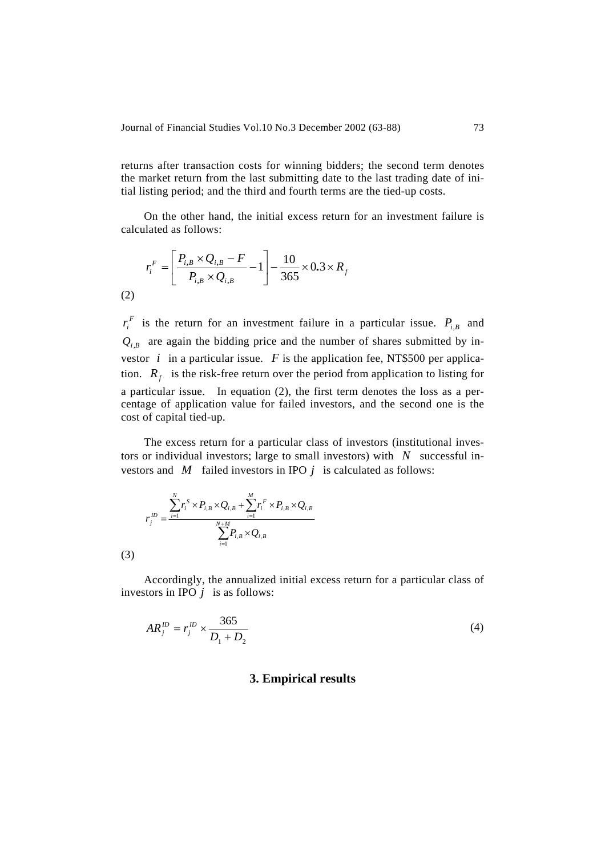returns after transaction costs for winning bidders; the second term denotes the market return from the last submitting date to the last trading date of initial listing period; and the third and fourth terms are the tied-up costs.

 On the other hand, the initial excess return for an investment failure is calculated as follows:

$$
r_i^F = \left[ \frac{P_{i,B} \times Q_{i,B} - F}{P_{i,B} \times Q_{i,B}} - 1 \right] - \frac{10}{365} \times 0.3 \times R_f
$$
\n(2)

 $r_i^F$  is the return for an investment failure in a particular issue.  $P_{i,B}$  and  $Q_{i,B}$  are again the bidding price and the number of shares submitted by investor  $i$  in a particular issue.  $F$  is the application fee, NT\$500 per application.  $R_f$  is the risk-free return over the period from application to listing for a particular issue. In equation (2), the first term denotes the loss as a percentage of application value for failed investors, and the second one is the cost of capital tied-up.

 The excess return for a particular class of investors (institutional investors or individual investors; large to small investors) with *N* successful investors and *M* failed investors in IPO *j* is calculated as follows:

$$
r_j^{ID} = \frac{\sum_{i=1}^N r_i^S \times P_{i,B} \times Q_{i,B} + \sum_{i=1}^M r_i^F \times P_{i,B} \times Q_{i,B}}{\sum_{i=1}^{N+M} P_{i,B} \times Q_{i,B}}
$$

(3)

 Accordingly, the annualized initial excess return for a particular class of investors in IPO  $j$  is as follows:

$$
AR_j^D = r_j^D \times \frac{365}{D_1 + D_2} \tag{4}
$$

#### **3. Empirical results**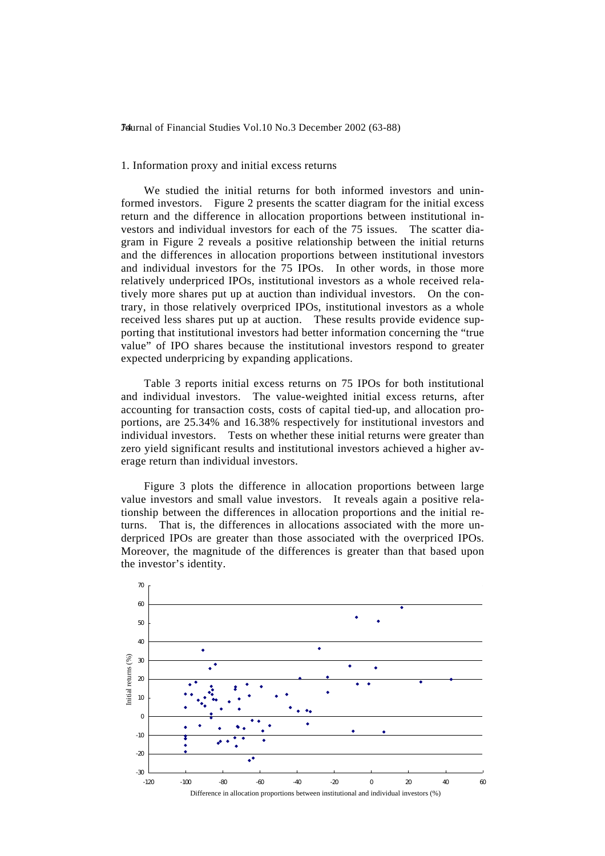#### 1. Information proxy and initial excess returns

 We studied the initial returns for both informed investors and uninformed investors. Figure 2 presents the scatter diagram for the initial excess return and the difference in allocation proportions between institutional investors and individual investors for each of the 75 issues. The scatter diagram in Figure 2 reveals a positive relationship between the initial returns and the differences in allocation proportions between institutional investors and individual investors for the 75 IPOs. In other words, in those more relatively underpriced IPOs, institutional investors as a whole received relatively more shares put up at auction than individual investors. On the contrary, in those relatively overpriced IPOs, institutional investors as a whole received less shares put up at auction. These results provide evidence supporting that institutional investors had better information concerning the "true value" of IPO shares because the institutional investors respond to greater expected underpricing by expanding applications.

 Table 3 reports initial excess returns on 75 IPOs for both institutional and individual investors. The value-weighted initial excess returns, after accounting for transaction costs, costs of capital tied-up, and allocation proportions, are 25.34% and 16.38% respectively for institutional investors and individual investors. Tests on whether these initial returns were greater than zero yield significant results and institutional investors achieved a higher average return than individual investors.

 Figure 3 plots the difference in allocation proportions between large value investors and small value investors. It reveals again a positive relationship between the differences in allocation proportions and the initial returns. That is, the differences in allocations associated with the more underpriced IPOs are greater than those associated with the overpriced IPOs. Moreover, the magnitude of the differences is greater than that based upon the investor's identity.

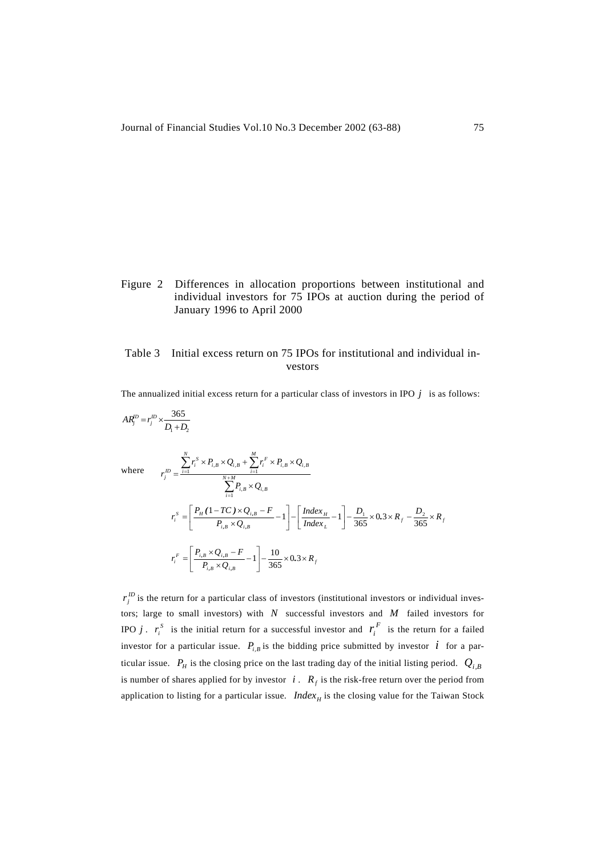## Figure 2 Differences in allocation proportions between institutional and individual investors for 75 IPOs at auction during the period of January 1996 to April 2000

## Table 3 Initial excess return on 75 IPOs for institutional and individual investors

The annualized initial excess return for a particular class of investors in IPO  $j$  is as follows:

$$
AR_j^D = r_j^D \times \frac{365}{D_1 + D_2}
$$
  
\nwhere 
$$
r_j^D = \frac{\sum_{i=1}^N r_i^S \times P_{i,B} \times Q_{i,B} + \sum_{i=1}^M r_i^F \times P_{i,B} \times Q_{i,B}}{\sum_{i=1}^{N+M} P_{i,B} \times Q_{i,B}}
$$

$$
r_i^S = \left[ \frac{P_H (1 - TC) \times Q_{i,B} - F}{P_{i,B} \times Q_{i,B}} - 1 \right] - \left[ \frac{Index_H}{Index_L} - 1 \right] - \frac{D_1}{365} \times 0.3 \times R_f - \frac{D_2}{365} \times R_f
$$

$$
r_i^F = \left[ \frac{P_{i,B} \times Q_{i,B} - F}{P_{i,B} \times Q_{i,B}} - 1 \right] - \frac{10}{365} \times 0.3 \times R_f
$$

 $r_j^D$  is the return for a particular class of investors (institutional investors or individual investors; large to small investors) with *N* successful investors and *M* failed investors for IPO *j*.  $r_i^S$  is the initial return for a successful investor and  $r_i^F$  is the return for a failed investor for a particular issue.  $P_{i,B}$  is the bidding price submitted by investor *i* for a particular issue.  $P_H$  is the closing price on the last trading day of the initial listing period.  $Q_{i,B}$ is number of shares applied for by investor  $i$ .  $R_f$  is the risk-free return over the period from application to listing for a particular issue. *Index<sub>H</sub>* is the closing value for the Taiwan Stock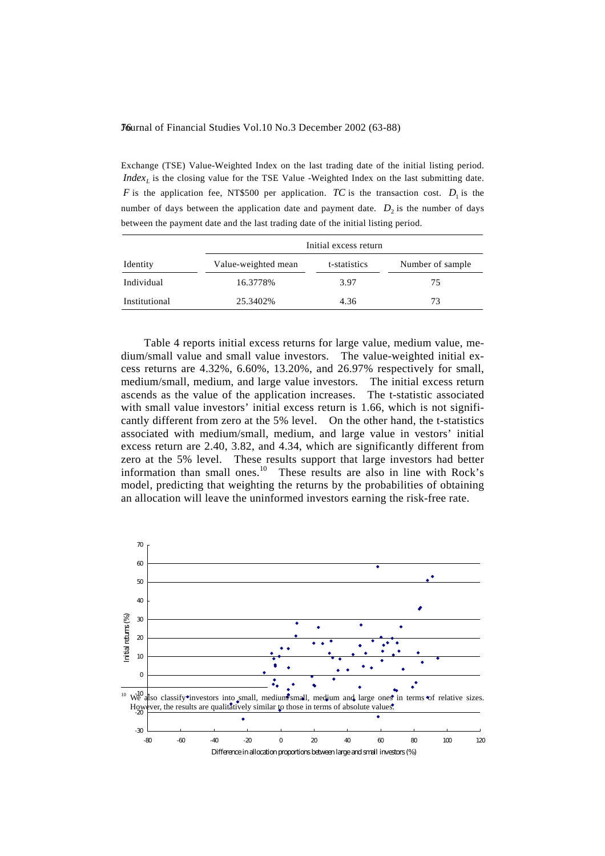Exchange (TSE) Value-Weighted Index on the last trading date of the initial listing period. *Index<sub>L</sub>* is the closing value for the TSE Value -Weighted Index on the last submitting date. *F* is the application fee, NT\$500 per application. *TC* is the transaction cost.  $D_1$  is the number of days between the application date and payment date.  $D_2$  is the number of days between the payment date and the last trading date of the initial listing period.

|               | Initial excess return |              |                  |  |  |
|---------------|-----------------------|--------------|------------------|--|--|
| Identity      | Value-weighted mean   | t-statistics | Number of sample |  |  |
| Individual    | 16.3778%              | 3.97         | 75               |  |  |
| Institutional | 25.3402%              | 4.36         | 73               |  |  |

 Table 4 reports initial excess returns for large value, medium value, medium/small value and small value investors. The value-weighted initial excess returns are 4.32%, 6.60%, 13.20%, and 26.97% respectively for small, medium/small, medium, and large value investors. The initial excess return ascends as the value of the application increases. The t-statistic associated with small value investors' initial excess return is 1.66, which is not significantly different from zero at the 5% level. On the other hand, the t-statistics associated with medium/small, medium, and large value in vestors' initial excess return are 2.40, 3.82, and 4.34, which are significantly different from zero at the 5% level. These results support that large investors had better information than small ones.<sup>10</sup> These results are also in line with Rock's model, predicting that weighting the returns by the probabilities of obtaining an allocation will leave the uninformed investors earning the risk-free rate.

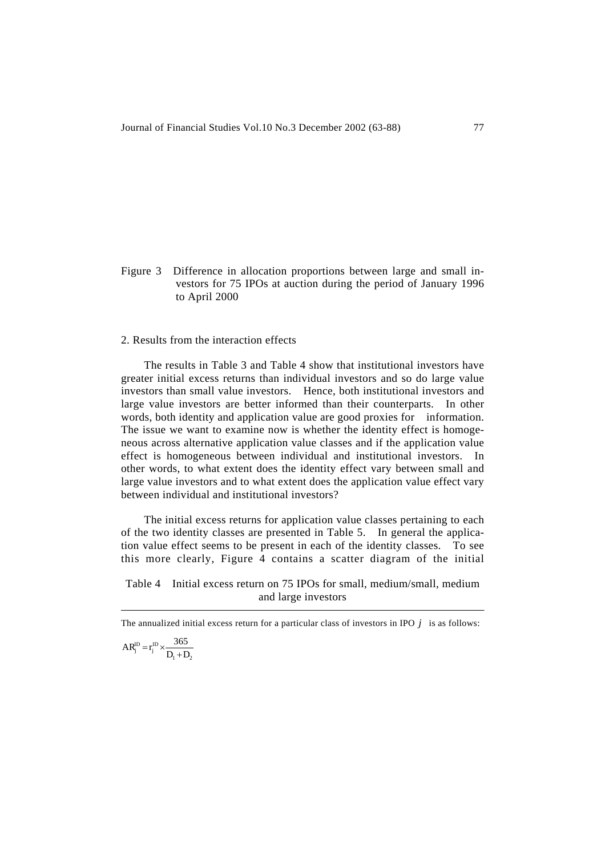Figure 3 Difference in allocation proportions between large and small investors for 75 IPOs at auction during the period of January 1996 to April 2000

## 2. Results from the interaction effects

 The results in Table 3 and Table 4 show that institutional investors have greater initial excess returns than individual investors and so do large value investors than small value investors. Hence, both institutional investors and large value investors are better informed than their counterparts. In other words, both identity and application value are good proxies for information. The issue we want to examine now is whether the identity effect is homogeneous across alternative application value classes and if the application value effect is homogeneous between individual and institutional investors. In other words, to what extent does the identity effect vary between small and large value investors and to what extent does the application value effect vary between individual and institutional investors?

 The initial excess returns for application value classes pertaining to each of the two identity classes are presented in Table 5. In general the application value effect seems to be present in each of the identity classes. To see this more clearly, Figure 4 contains a scatter diagram of the initial

Table 4 Initial excess return on 75 IPOs for small, medium/small, medium and large investors

The annualized initial excess return for a particular class of investors in IPO *j* is as follows: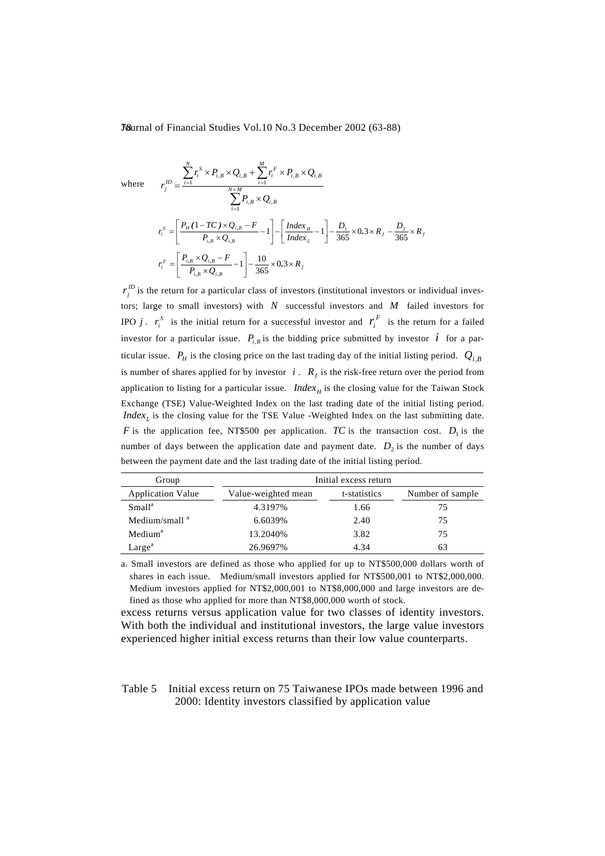where 
$$
r_j^D = \frac{\sum_{i=1}^N r_i^S \times P_{i,B} \times Q_{i,B} + \sum_{i=1}^M r_i^F \times P_{i,B} \times Q_{i,B}}{\sum_{i=1}^M P_{i,B} \times Q_{i,B}}
$$

$$
r_i^S = \left[ \frac{P_H (1 - TC) \times Q_{i,B} - F}{P_{i,B} \times Q_{i,B}} - 1 \right] - \left[ \frac{Index_H}{Index_L} - 1 \right] - \frac{D_1}{365} \times 0.3 \times R_f - \frac{D_2}{365} \times R_f
$$

$$
r_i^F = \left[ \frac{P_{i,B} \times Q_{i,B} - F}{P_{i,B} \times Q_{i,B}} - 1 \right] - \frac{10}{365} \times 0.3 \times R_f
$$

 $r_j^D$  is the return for a particular class of investors (institutional investors or individual investors; large to small investors) with *N* successful investors and *M* failed investors for IPO *j*.  $r_i^S$  is the initial return for a successful investor and  $r_i^F$  is the return for a failed investor for a particular issue.  $P_{i,B}$  is the bidding price submitted by investor *i* for a particular issue.  $P_H$  is the closing price on the last trading day of the initial listing period.  $Q_i$ <sub>B</sub> is number of shares applied for by investor  $i$ .  $R_f$  is the risk-free return over the period from application to listing for a particular issue. *Index<sub>H</sub>* is the closing value for the Taiwan Stock Exchange (TSE) Value-Weighted Index on the last trading date of the initial listing period.  $Index_L$  is the closing value for the TSE Value -Weighted Index on the last submitting date. *F* is the application fee, NT\$500 per application. *TC* is the transaction cost.  $D_1$  is the number of days between the application date and payment date.  $D_2$  is the number of days between the payment date and the last trading date of the initial listing period.

| Group                    | Initial excess return |              |                   |  |
|--------------------------|-----------------------|--------------|-------------------|--|
| <b>Application Value</b> | Value-weighted mean   | t-statistics | Number of sample. |  |
| Small <sup>a</sup>       | 4.3197%               | 1.66         | 75                |  |
| Medium/small $^a$        | 6.6039%               | 2.40         | 75                |  |
| Medium <sup>a</sup>      | 13.2040\%             | 3.82         | 75                |  |
| Large <sup>a</sup>       | 26.9697%              | 4.34         | 63                |  |

a. Small investors are defined as those who applied for up to NT\$500,000 dollars worth of shares in each issue. Medium/small investors applied for NT\$500,001 to NT\$2,000,000. Medium investors applied for NT\$2,000,001 to NT\$8,000,000 and large investors are defined as those who applied for more than NT\$8,000,000 worth of stock.

excess returns versus application value for two classes of identity investors. With both the individual and institutional investors, the large value investors experienced higher initial excess returns than their low value counterparts.

Table 5 Initial excess return on 75 Taiwanese IPOs made between 1996 and 2000: Identity investors classified by application value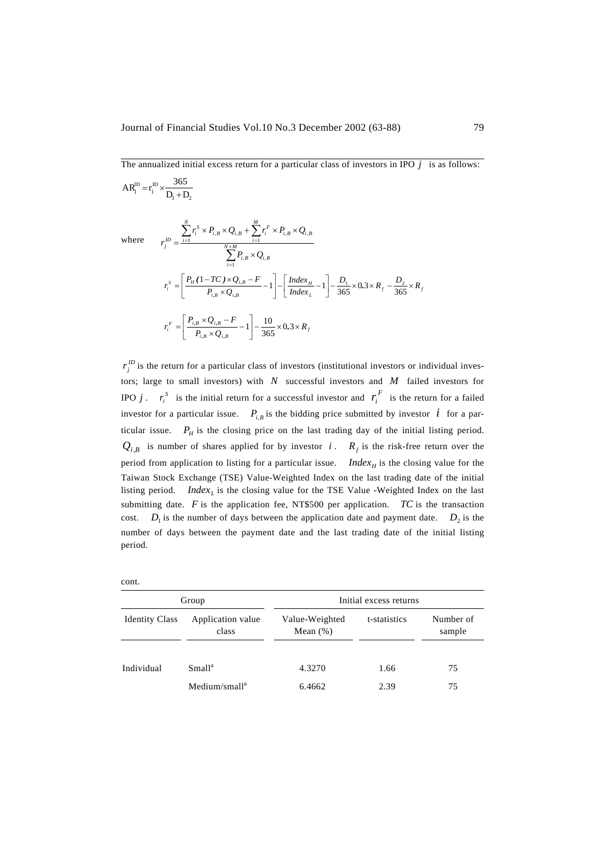The annualized initial excess return for a particular class of investors in IPO  $j$  is as follows:

$$
AR_j^{\text{ID}} = r_j^{\text{ID}} \times \frac{365}{D_1 + D_2}
$$
  
\nwhere 
$$
r_j^{\text{ID}} = \frac{\sum_{i=1}^{N} r_i^S \times P_{i,B} \times Q_{i,B} + \sum_{i=1}^{M} r_i^F \times P_{i,B} \times Q_{i,B}}{\sum_{i=1}^{N+M} P_{i,B} \times Q_{i,B}}
$$

$$
r_i^S = \left[ \frac{P_H (1 - TC) \times Q_{i,B} - F}{P_{i,B} \times Q_{i,B}} - 1 \right] - \left[ \frac{Index_H}{Index_L} - 1 \right] - \frac{D_1}{365} \times 0.3 \times R_f - \frac{D_2}{365} \times R_f
$$

$$
r_i^F = \left[ \frac{P_{i,B} \times Q_{i,B} - F}{P_{i,B} \times Q_{i,B}} - 1 \right] - \frac{10}{365} \times 0.3 \times R_f
$$

 $r_j^D$  is the return for a particular class of investors (institutional investors or individual investors; large to small investors) with *N* successful investors and *M* failed investors for IPO *j*.  $r_i^S$  is the initial return for a successful investor and  $r_i^F$  is the return for a failed investor for a particular issue.  $P_{i,B}$  is the bidding price submitted by investor *i* for a particular issue.  $P_H$  is the closing price on the last trading day of the initial listing period.  $Q_{i,B}$  is number of shares applied for by investor *i*.  $R_f$  is the risk-free return over the period from application to listing for a particular issue. *Index<sub>H</sub>* is the closing value for the Taiwan Stock Exchange (TSE) Value-Weighted Index on the last trading date of the initial listing period. *Index<sub>t</sub>* is the closing value for the TSE Value -Weighted Index on the last submitting date.  $F$  is the application fee, NT\$500 per application.  $TC$  is the transaction cost.  $D_1$  is the number of days between the application date and payment date.  $D_2$  is the number of days between the payment date and the last trading date of the initial listing period.

| Group                 |                            | Initial excess returns        |              |                     |  |
|-----------------------|----------------------------|-------------------------------|--------------|---------------------|--|
| <b>Identity Class</b> | Application value<br>class | Value-Weighted<br>Mean $(\%)$ | t-statistics | Number of<br>sample |  |
|                       |                            |                               |              |                     |  |
| Individual            | Small <sup>a</sup>         | 4.3270                        | 1.66         | 75                  |  |
|                       | Medium/small <sup>a</sup>  | 6.4662                        | 2.39         | 75                  |  |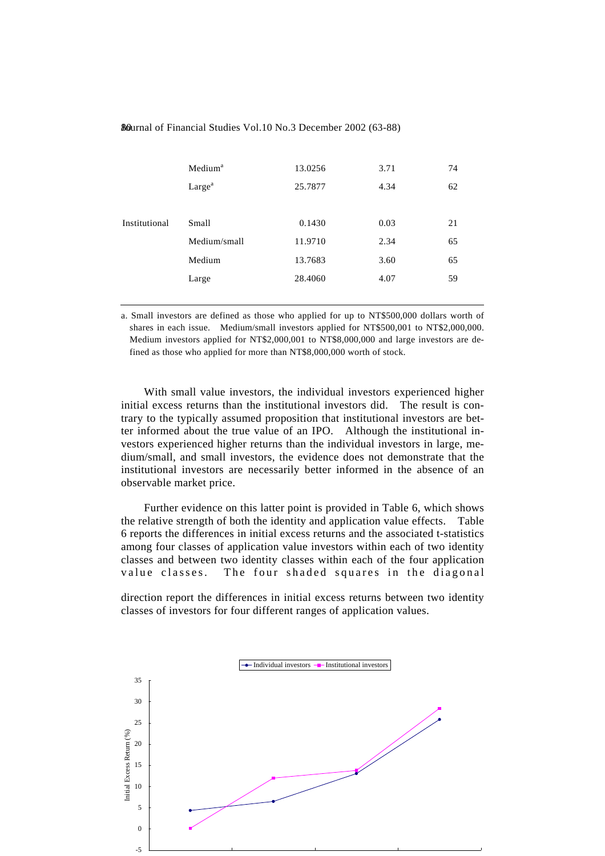|               | Medium <sup>a</sup> | 13.0256 | 3.71 | 74 |
|---------------|---------------------|---------|------|----|
|               | Large <sup>a</sup>  | 25.7877 | 4.34 | 62 |
|               |                     |         |      |    |
| Institutional | Small               | 0.1430  | 0.03 | 21 |
|               | Medium/small        | 11.9710 | 2.34 | 65 |
|               | Medium              | 13.7683 | 3.60 | 65 |
|               | Large               | 28.4060 | 4.07 | 59 |
|               |                     |         |      |    |

a. Small investors are defined as those who applied for up to NT\$500,000 dollars worth of shares in each issue. Medium/small investors applied for NT\$500,001 to NT\$2,000,000. Medium investors applied for NT\$2,000,001 to NT\$8,000,000 and large investors are defined as those who applied for more than NT\$8,000,000 worth of stock.

 With small value investors, the individual investors experienced higher initial excess returns than the institutional investors did. The result is contrary to the typically assumed proposition that institutional investors are better informed about the true value of an IPO. Although the institutional investors experienced higher returns than the individual investors in large, medium/small, and small investors, the evidence does not demonstrate that the institutional investors are necessarily better informed in the absence of an observable market price.

 Further evidence on this latter point is provided in Table 6, which shows the relative strength of both the identity and application value effects. Table 6 reports the differences in initial excess returns and the associated t-statistics among four classes of application value investors within each of two identity classes and between two identity classes within each of the four application value classes. The four shaded squares in the diagonal

direction report the differences in initial excess returns between two identity classes of investors for four different ranges of application values.

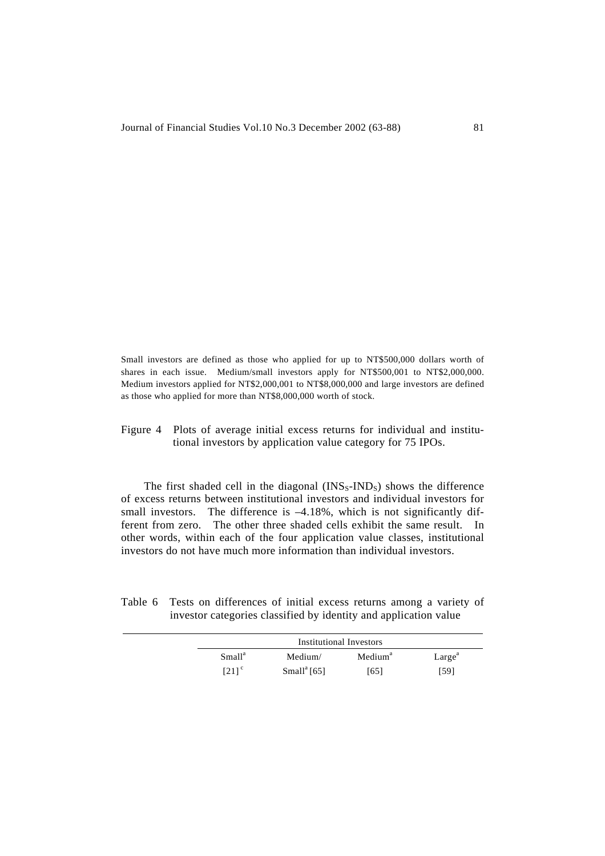Small investors are defined as those who applied for up to NT\$500,000 dollars worth of shares in each issue. Medium/small investors apply for NT\$500,001 to NT\$2,000,000. Medium investors applied for NT\$2,000,001 to NT\$8,000,000 and large investors are defined as those who applied for more than NT\$8,000,000 worth of stock.

Figure 4 Plots of average initial excess returns for individual and institutional investors by application value category for 75 IPOs.

The first shaded cell in the diagonal  $(INS_S-IND_S)$  shows the difference of excess returns between institutional investors and individual investors for small investors. The difference is  $-4.18%$ , which is not significantly different from zero. The other three shaded cells exhibit the same result. In other words, within each of the four application value classes, institutional investors do not have much more information than individual investors.

| Table 6 Tests on differences of initial excess returns among a variety of |  |
|---------------------------------------------------------------------------|--|
| investor categories classified by identity and application value          |  |

| Institutional Investors |                         |                     |                    |  |
|-------------------------|-------------------------|---------------------|--------------------|--|
| Small <sup>a</sup>      | Medium/                 | Medium <sup>a</sup> | Large <sup>a</sup> |  |
| $[21]$ <sup>c</sup>     | Small <sup>a</sup> [65] | [65]                | [59]               |  |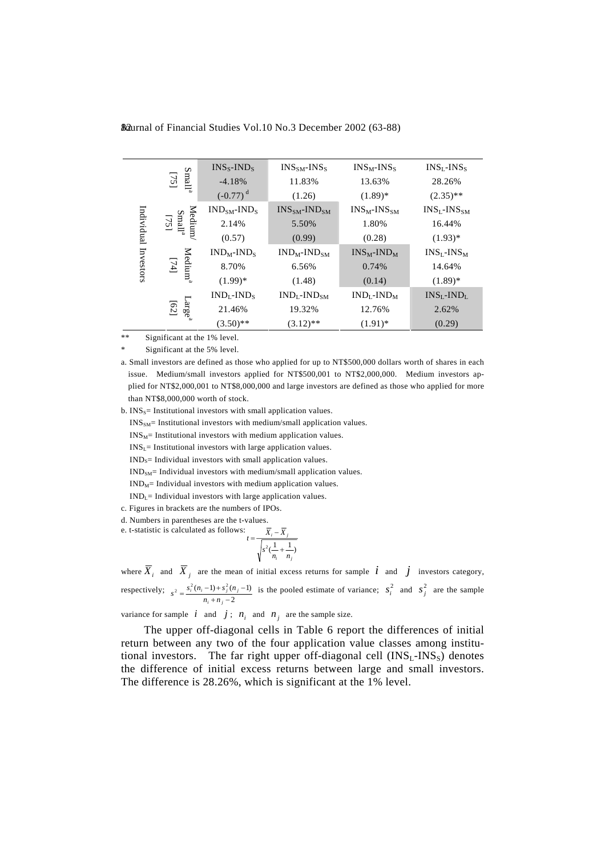|                         |                                                   | $INS_{S}$ -IND <sub>S</sub> | $INS_{SM}$ - $INS_{S}$  | $INS_M-INS_S$          | $INSL$ -INS <sub>S</sub> |
|-------------------------|---------------------------------------------------|-----------------------------|-------------------------|------------------------|--------------------------|
| Individual<br>Investors | Small <sup>a</sup><br>$[75]$                      | $-4.18%$                    | 11.83%                  | 13.63%                 | 28.26%                   |
|                         |                                                   | $(-0.77)^d$                 | (1.26)                  | $(1.89)*$              | $(2.35)$ **              |
|                         |                                                   | $INDSM-INDS$                | $INS_{SM}$ -IN $D_{SM}$ | $INS_{M}$ - $INS_{SM}$ | $INS_{L}$ - $INS_{SM}$   |
|                         | Medium/<br>$\frac{\text{Small}^{\text{a}}}{1751}$ | 2.14%                       | 5.50%                   | 1.80%                  | 16.44%                   |
|                         |                                                   | (0.57)                      | (0.99)                  | (0.28)                 | $(1.93)*$                |
|                         |                                                   | $INDM-INDS$                 | $INDM-INDSM$            | $INS_M$ - $IND_M$      | $INS_{L}$ -IN $S_{M}$    |
|                         | Medium <sup>a</sup><br>$\boxed{14}$               | 8.70%                       | 6.56%                   | 0.74%                  | 14.64%                   |
|                         |                                                   | $(1.99)*$                   | (1.48)                  | (0.14)                 | $(1.89)$ *               |
|                         |                                                   | $INDI$ -IND <sub>s</sub>    | $INDI$ -IN $DSM$        | $INDI$ -IN $DM$        | $INS_{L}$ - $IND_{L}$    |
|                         | Large <sup>a</sup><br>[62]                        | 21.46%                      | 19.32%                  | 12.76%                 | 2.62%                    |
|                         |                                                   | $(3.50)$ **                 | $(3.12)$ **             | $(1.91)^*$             | (0.29)                   |

82 aurnal of Financial Studies Vol.10 No.3 December 2002 (63-88)

\*\* Significant at the 1% level.

Significant at the 5% level.

a. Small investors are defined as those who applied for up to NT\$500,000 dollars worth of shares in each issue. Medium/small investors applied for NT\$500,001 to NT\$2,000,000. Medium investors applied for NT\$2,000,001 to NT\$8,000,000 and large investors are defined as those who applied for more than NT\$8,000,000 worth of stock.

b.  $INS_S$ = Institutional investors with small application values.

 $INS<sub>SM</sub>$ = Institutional investors with medium/small application values.

 $INS_M$ = Institutional investors with medium application values.

 $INS<sub>L</sub>$ = Institutional investors with large application values.

 $IND<sub>S</sub>=$  Individual investors with small application values.

 $\text{IND}_{\text{SM}}\text{=}$  Individual investors with medium/small application values.

 $IND<sub>M</sub>=$  Individual investors with medium application values.

 $IND_{L}$  Individual investors with large application values.

c. Figures in brackets are the numbers of IPOs.

d. Numbers in parentheses are the t-values. e. t-statistic is calculated as follows:

$$
t = \frac{\overline{X}_i - \overline{X}_j}{\sqrt{s^2(\frac{1}{n_i} + \frac{1}{n_j})}}
$$

where  $\overline{X}_i$  and  $\overline{X}_j$  are the mean of initial excess returns for sample  $i$  and  $j$  investors category, respectively; 2  $\sigma^2 = \frac{s_i^2 (n_i - 1) + s_j^2 (n_j - 1)}{n_i + n_j - 2}$  $s^2 = \frac{s_i^2(n_i-1)+s_j^2(n_j-1)}{n_i+n_i-2}$  is the pooled estimate of variance;  $s_i^2$  and  $s_j^2$  are the sample

variance for sample  $i$  and  $j$ ;  $n_i$  and  $n_j$  are the sample size.

 The upper off-diagonal cells in Table 6 report the differences of initial return between any two of the four application value classes among institutional investors. The far right upper off-diagonal cell  $(INS<sub>L</sub>-INS<sub>S</sub>)$  denotes the difference of initial excess returns between large and small investors. The difference is 28.26%, which is significant at the 1% level.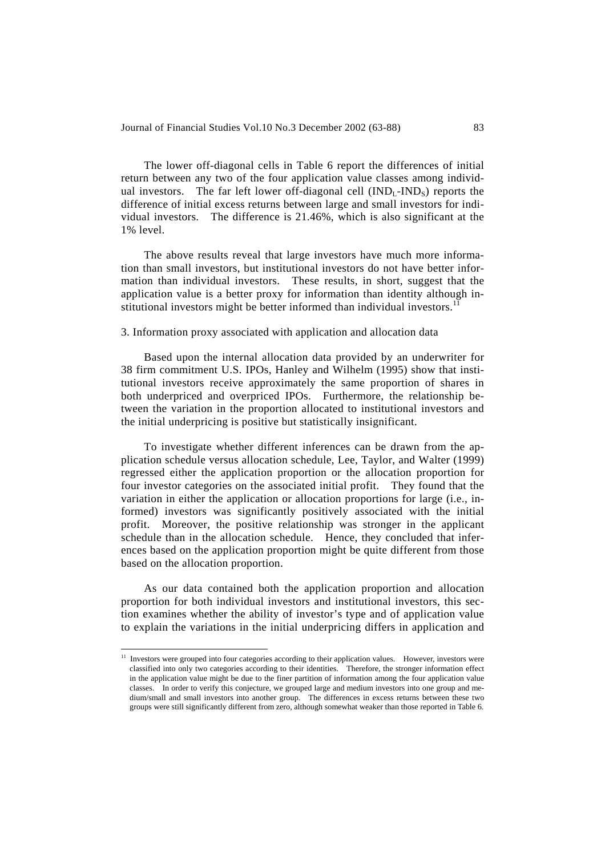The lower off-diagonal cells in Table 6 report the differences of initial return between any two of the four application value classes among individual investors. The far left lower off-diagonal cell  $(IND<sub>L</sub>-IND<sub>S</sub>)$  reports the difference of initial excess returns between large and small investors for individual investors. The difference is 21.46%, which is also significant at the 1% level.

 The above results reveal that large investors have much more information than small investors, but institutional investors do not have better information than individual investors. These results, in short, suggest that the application value is a better proxy for information than identity although institutional investors might be better informed than individual investors.<sup>11</sup>

#### 3. Information proxy associated with application and allocation data

 Based upon the internal allocation data provided by an underwriter for 38 firm commitment U.S. IPOs, Hanley and Wilhelm (1995) show that institutional investors receive approximately the same proportion of shares in both underpriced and overpriced IPOs. Furthermore, the relationship between the variation in the proportion allocated to institutional investors and the initial underpricing is positive but statistically insignificant.

 To investigate whether different inferences can be drawn from the application schedule versus allocation schedule, Lee, Taylor, and Walter (1999) regressed either the application proportion or the allocation proportion for four investor categories on the associated initial profit. They found that the variation in either the application or allocation proportions for large (i.e., informed) investors was significantly positively associated with the initial profit. Moreover, the positive relationship was stronger in the applicant schedule than in the allocation schedule. Hence, they concluded that inferences based on the application proportion might be quite different from those based on the allocation proportion.

 As our data contained both the application proportion and allocation proportion for both individual investors and institutional investors, this section examines whether the ability of investor's type and of application value to explain the variations in the initial underpricing differs in application and

 $\overline{a}$ 

<sup>&</sup>lt;sup>11</sup> Investors were grouped into four categories according to their application values. However, investors were classified into only two categories according to their identities. Therefore, the stronger information effect in the application value might be due to the finer partition of information among the four application value classes. In order to verify this conjecture, we grouped large and medium investors into one group and medium/small and small investors into another group. The differences in excess returns between these two groups were still significantly different from zero, although somewhat weaker than those reported in Table 6.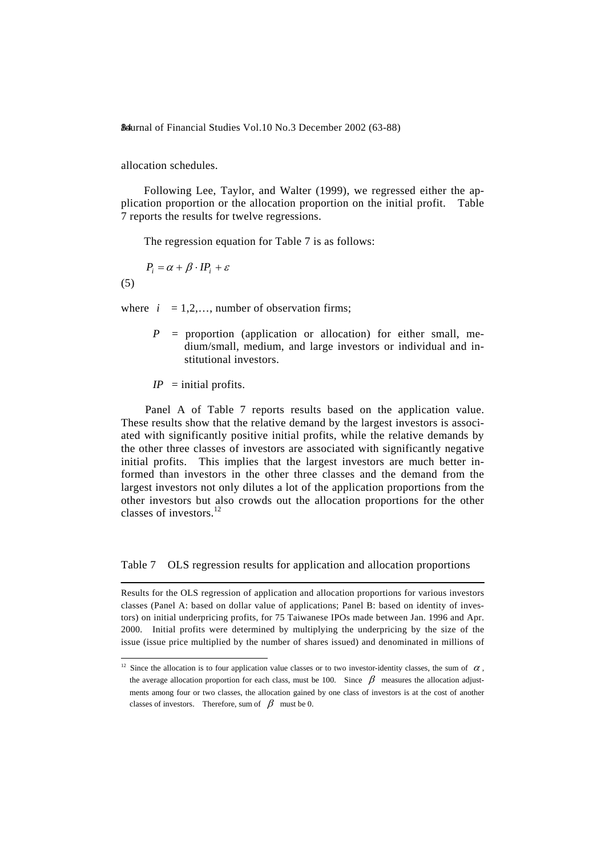allocation schedules.

 Following Lee, Taylor, and Walter (1999), we regressed either the application proportion or the allocation proportion on the initial profit. Table 7 reports the results for twelve regressions.

The regression equation for Table 7 is as follows:

$$
P_i = \alpha + \beta \cdot IP_i + \varepsilon
$$
  
(5)

where  $i = 1, 2, \dots$ , number of observation firms;

 $P =$  proportion (application or allocation) for either small, medium/small, medium, and large investors or individual and institutional investors.

 $IP$  = initial profits.

l

 Panel A of Table 7 reports results based on the application value. These results show that the relative demand by the largest investors is associated with significantly positive initial profits, while the relative demands by the other three classes of investors are associated with significantly negative initial profits. This implies that the largest investors are much better informed than investors in the other three classes and the demand from the largest investors not only dilutes a lot of the application proportions from the other investors but also crowds out the allocation proportions for the other classes of investors.<sup>12</sup>

#### Table 7 OLS regression results for application and allocation proportions

Results for the OLS regression of application and allocation proportions for various investors classes (Panel A: based on dollar value of applications; Panel B: based on identity of investors) on initial underpricing profits, for 75 Taiwanese IPOs made between Jan. 1996 and Apr. 2000. Initial profits were determined by multiplying the underpricing by the size of the issue (issue price multiplied by the number of shares issued) and denominated in millions of

<sup>&</sup>lt;sup>12</sup> Since the allocation is to four application value classes or to two investor-identity classes, the sum of  $\alpha$ , the average allocation proportion for each class, must be 100. Since  $\beta$  measures the allocation adjustments among four or two classes, the allocation gained by one class of investors is at the cost of another classes of investors. Therefore, sum of  $\beta$  must be 0.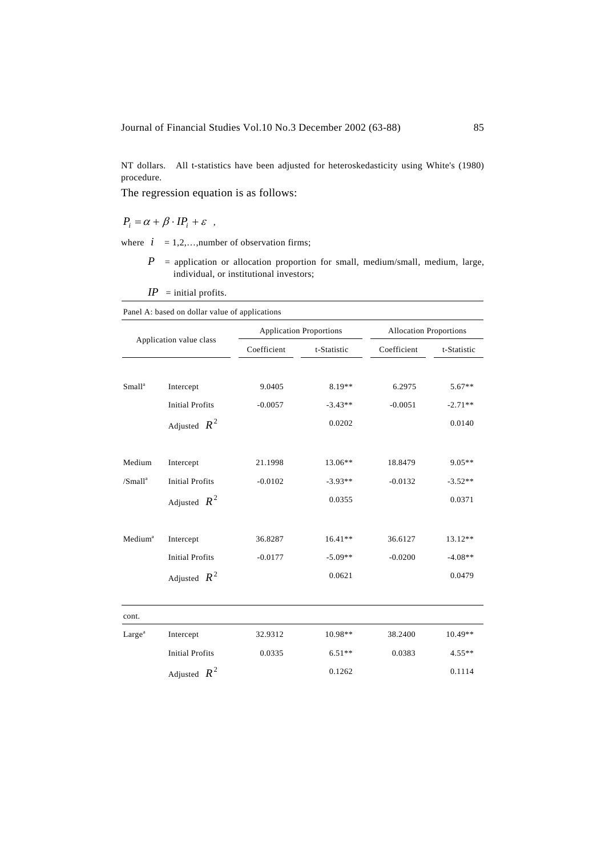NT dollars. All t-statistics have been adjusted for heteroskedasticity using White's (1980) procedure.

The regression equation is as follows:

 $P_i = \alpha + \beta \cdot IP_i + \varepsilon$ ,

where  $i = 1, 2, \dots,$  number of observation firms;

 *P* = application or allocation proportion for small, medium/small, medium, large, individual, or institutional investors;

 $IP$  = initial profits.

| Application value class |                        |             | <b>Application Proportions</b> |             | <b>Allocation Proportions</b> |  |
|-------------------------|------------------------|-------------|--------------------------------|-------------|-------------------------------|--|
|                         |                        | Coefficient | t-Statistic                    | Coefficient | t-Statistic                   |  |
| Small <sup>a</sup>      | Intercept              | 9.0405      | 8.19**                         | 6.2975      | $5.67**$                      |  |
|                         | <b>Initial Profits</b> | $-0.0057$   | $-3.43**$                      | $-0.0051$   | $-2.71**$                     |  |
|                         | Adjusted $R^2$         |             | 0.0202                         |             | 0.0140                        |  |
| Medium                  | Intercept              | 21.1998     | 13.06**                        | 18.8479     | $9.05**$                      |  |
| /Small <sup>a</sup>     | <b>Initial Profits</b> | $-0.0102$   | $-3.93**$                      | $-0.0132$   | $-3.52**$                     |  |
|                         | Adjusted $R^2$         |             | 0.0355                         |             | 0.0371                        |  |
| Medium <sup>a</sup>     | Intercept              | 36.8287     | $16.41**$                      | 36.6127     | 13.12**                       |  |
|                         | <b>Initial Profits</b> | $-0.0177$   | $-5.09**$                      | $-0.0200$   | $-4.08**$                     |  |
|                         | Adjusted $R^2$         |             | 0.0621                         |             | 0.0479                        |  |
| cont.                   |                        |             |                                |             |                               |  |
| Large <sup>a</sup>      | Intercept              | 32.9312     | 10.98**                        | 38.2400     | 10.49**                       |  |
|                         | <b>Initial Profits</b> | 0.0335      | $6.51**$                       | 0.0383      | $4.55**$                      |  |
|                         | Adjusted $R^2$         |             | 0.1262                         |             | 0.1114                        |  |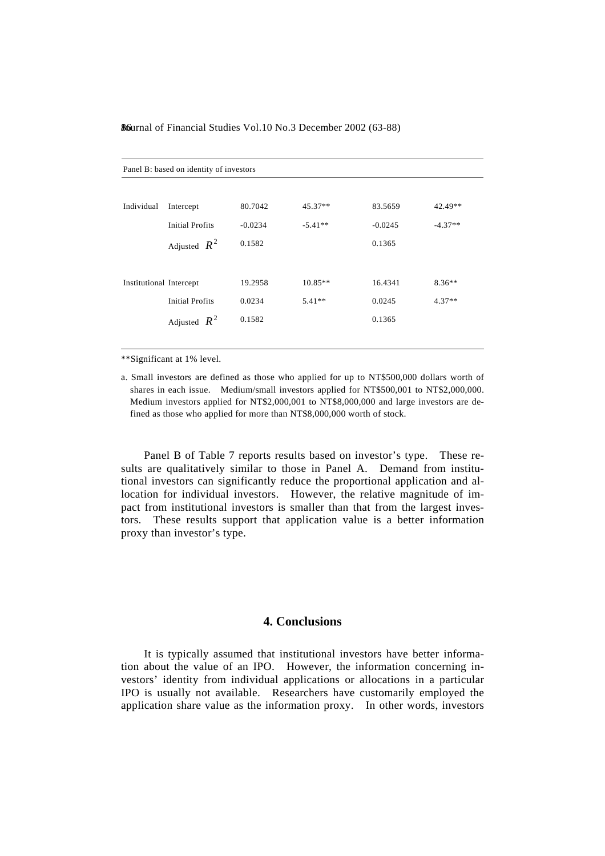| Panel B: based on identity of investors |                        |           |           |           |           |
|-----------------------------------------|------------------------|-----------|-----------|-----------|-----------|
|                                         |                        |           |           |           |           |
| Individual                              | Intercept              | 80.7042   | $45.37**$ | 83.5659   | 42.49**   |
|                                         | <b>Initial Profits</b> | $-0.0234$ | $-5.41**$ | $-0.0245$ | $-4.37**$ |
|                                         | Adjusted $R^2$         | 0.1582    |           | 0.1365    |           |
|                                         |                        |           |           |           |           |
| Institutional Intercept                 |                        | 19.2958   | $10.85**$ | 16.4341   | $8.36**$  |
|                                         | <b>Initial Profits</b> | 0.0234    | $5.41**$  | 0.0245    | $4.37**$  |
|                                         | Adjusted $R^2$         | 0.1582    |           | 0.1365    |           |
|                                         |                        |           |           |           |           |

\*\*Significant at 1% level.

a. Small investors are defined as those who applied for up to NT\$500,000 dollars worth of shares in each issue. Medium/small investors applied for NT\$500,001 to NT\$2,000,000. Medium investors applied for NT\$2,000,001 to NT\$8,000,000 and large investors are defined as those who applied for more than NT\$8,000,000 worth of stock.

 Panel B of Table 7 reports results based on investor's type. These results are qualitatively similar to those in Panel A. Demand from institutional investors can significantly reduce the proportional application and allocation for individual investors. However, the relative magnitude of impact from institutional investors is smaller than that from the largest investors. These results support that application value is a better information proxy than investor's type.

## **4. Conclusions**

 It is typically assumed that institutional investors have better information about the value of an IPO. However, the information concerning investors' identity from individual applications or allocations in a particular IPO is usually not available. Researchers have customarily employed the application share value as the information proxy. In other words, investors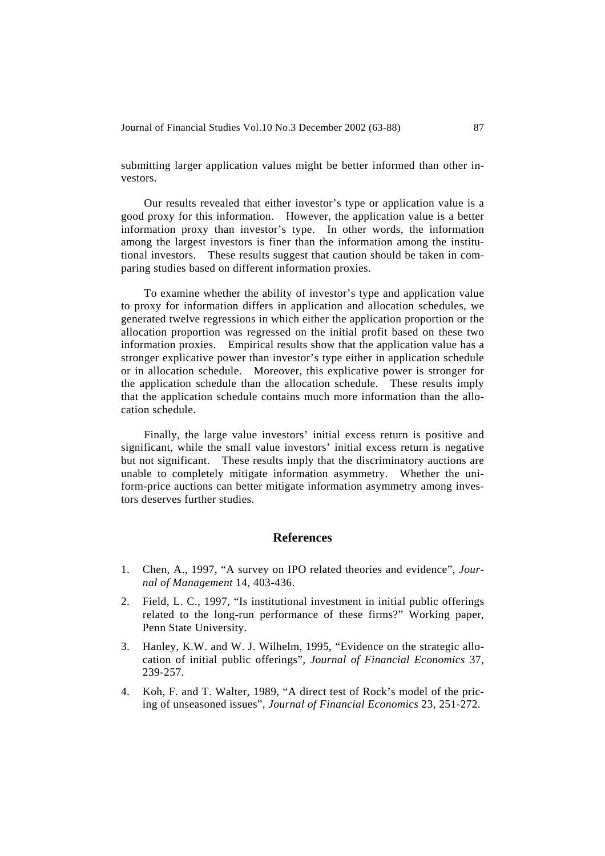submitting larger application values might be better informed than other investors.

 Our results revealed that either investor's type or application value is a good proxy for this information. However, the application value is a better information proxy than investor's type. In other words, the information among the largest investors is finer than the information among the institutional investors. These results suggest that caution should be taken in comparing studies based on different information proxies.

 To examine whether the ability of investor's type and application value to proxy for information differs in application and allocation schedules, we generated twelve regressions in which either the application proportion or the allocation proportion was regressed on the initial profit based on these two information proxies. Empirical results show that the application value has a stronger explicative power than investor's type either in application schedule or in allocation schedule. Moreover, this explicative power is stronger for the application schedule than the allocation schedule. These results imply that the application schedule contains much more information than the allocation schedule.

 Finally, the large value investors' initial excess return is positive and significant, while the small value investors' initial excess return is negative but not significant. These results imply that the discriminatory auctions are unable to completely mitigate information asymmetry. Whether the uniform-price auctions can better mitigate information asymmetry among investors deserves further studies.

### **References**

- 1. Chen, A., 1997, "A survey on IPO related theories and evidence", *Journal of Management* 14, 403-436.
- 2. Field, L. C., 1997, "Is institutional investment in initial public offerings related to the long-run performance of these firms?" Working paper, Penn State University.
- 3. Hanley, K.W. and W. J. Wilhelm, 1995, "Evidence on the strategic allocation of initial public offerings", *Journal of Financial Economics* 37, 239-257.
- 4. Koh, F. and T. Walter, 1989, "A direct test of Rock's model of the pricing of unseasoned issues", *Journal of Financial Economics* 23, 251-272.